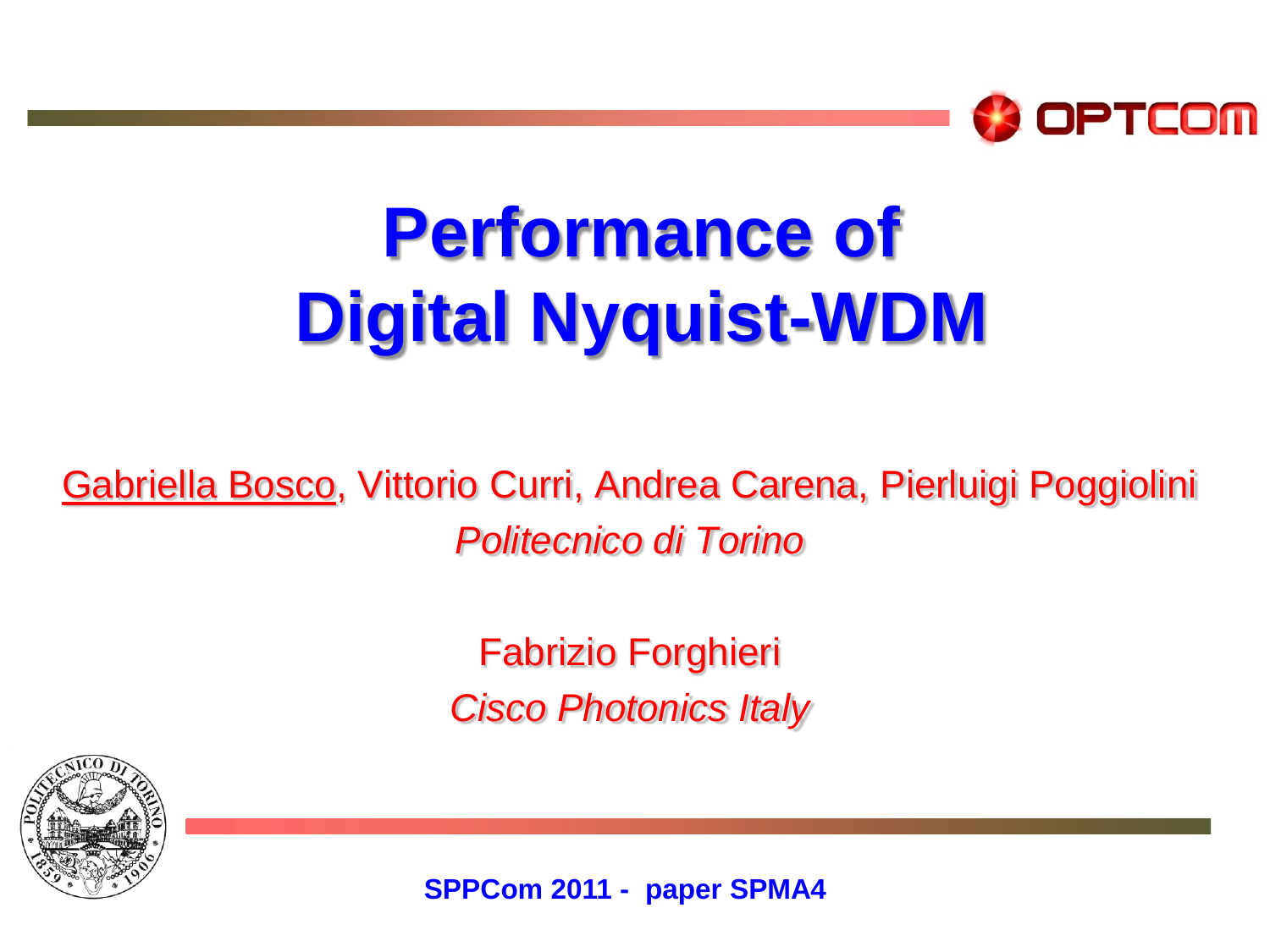

## **Performance of Digital Nyquist-WDM**

Gabriella Bosco, Vittorio Curri, Andrea Carena, Pierluigi Poggiolini *Politecnico di Torino*

> Fabrizio Forghieri *Cisco Photonics Italy*



**SPPCom 2011 - paper SPMA4**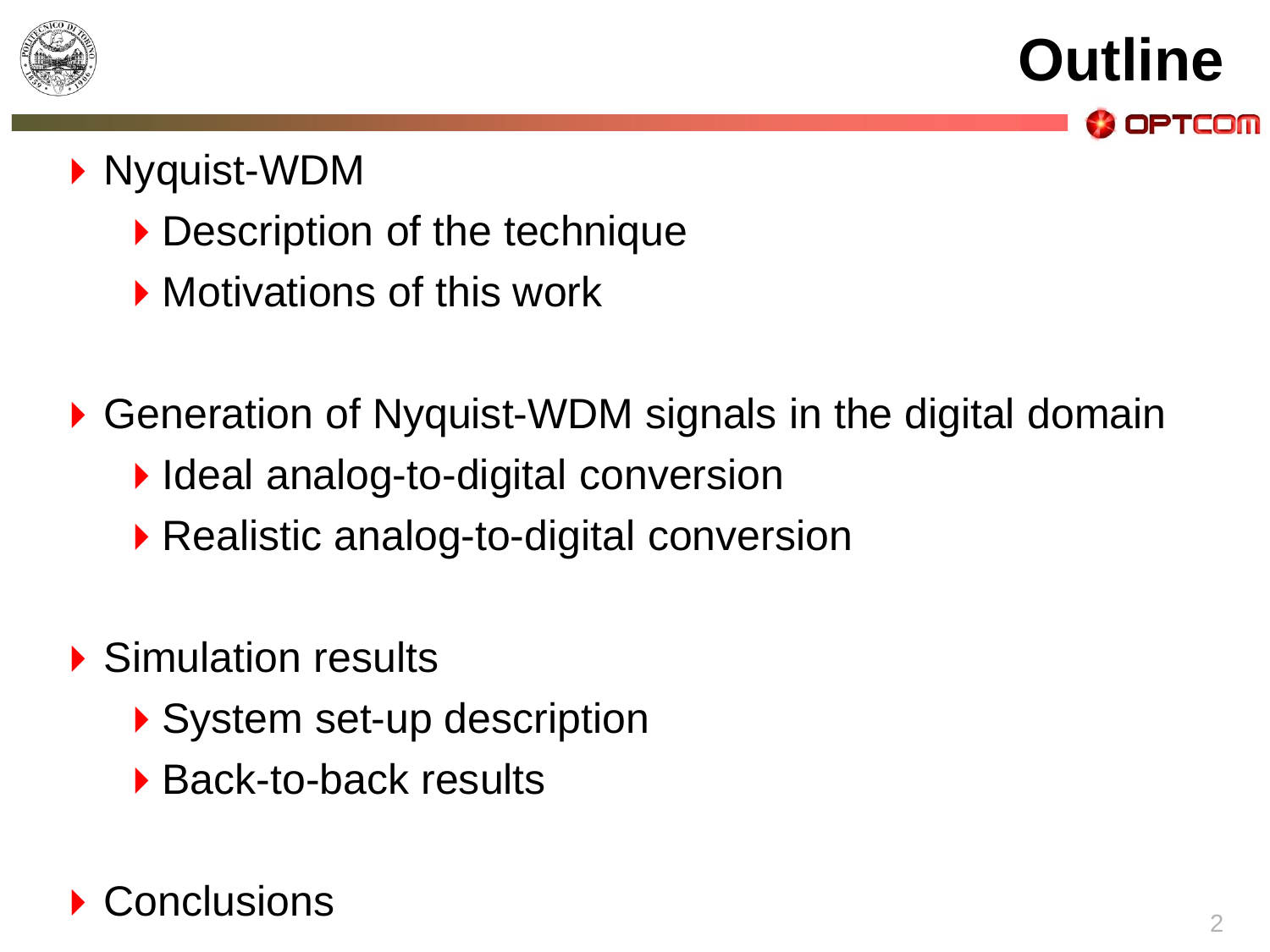

**Outline** OPTCOM

#### ▶ Nyquist-WDM

- ▶ Description of the technique
- **Motivations of this work**
- ▶ Generation of Nyquist-WDM signals in the digital domain
	- ▶ Ideal analog-to-digital conversion
	- ▶ Realistic analog-to-digital conversion
- ▶ Simulation results
	- ▶ System set-up description
	- ▶ Back-to-back results

#### Conclusions <sup>2</sup>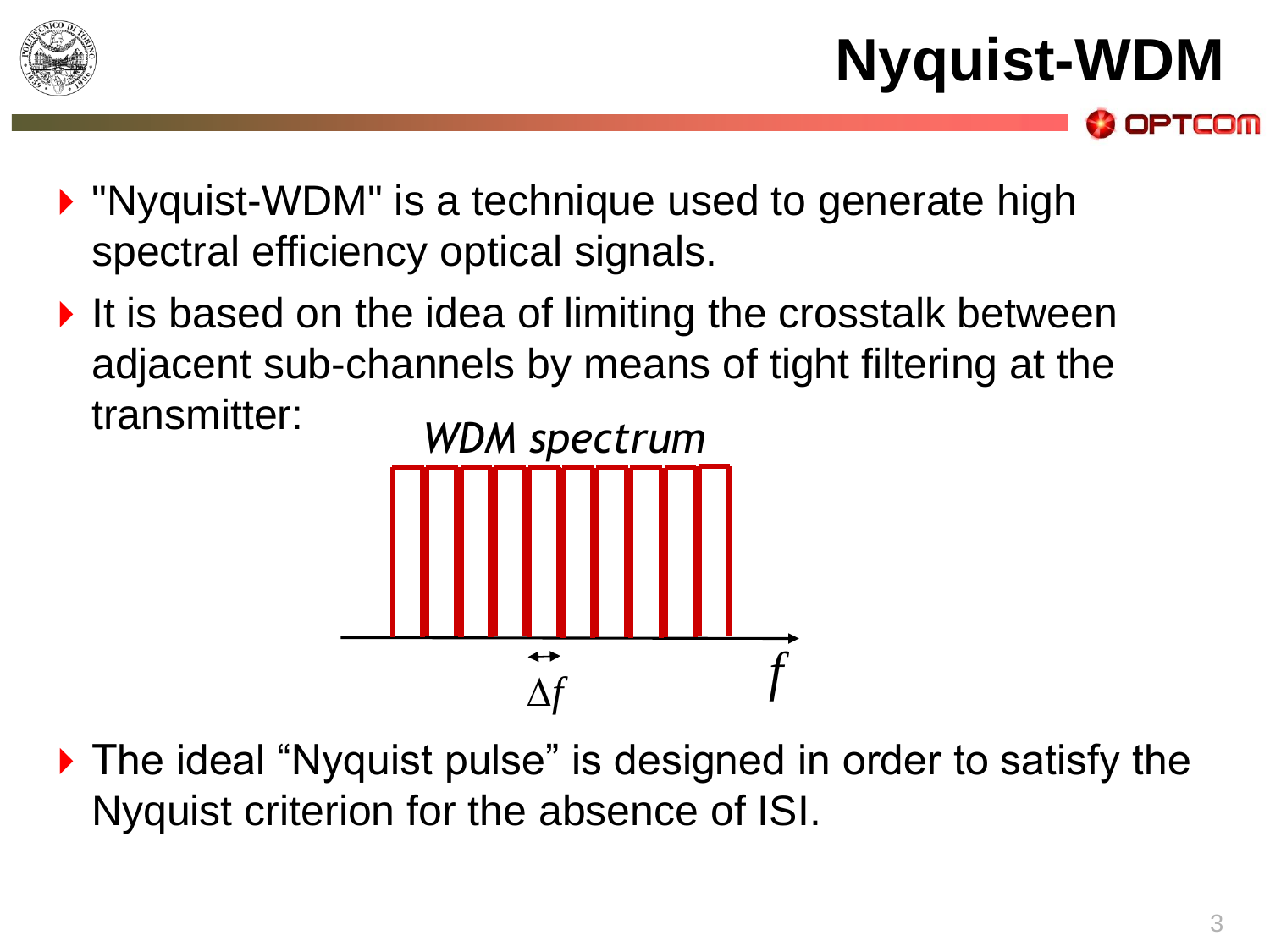

**Nyquist-WDM**

OPTCOM

- **N** "Nyquist-WDM" is a technique used to generate high spectral efficiency optical signals.
- $\blacktriangleright$  It is based on the idea of limiting the crosstalk between adjacent sub-channels by means of tight filtering at the transmitter:



▶ The ideal "Nyquist pulse" is designed in order to satisfy the Nyquist criterion for the absence of ISI.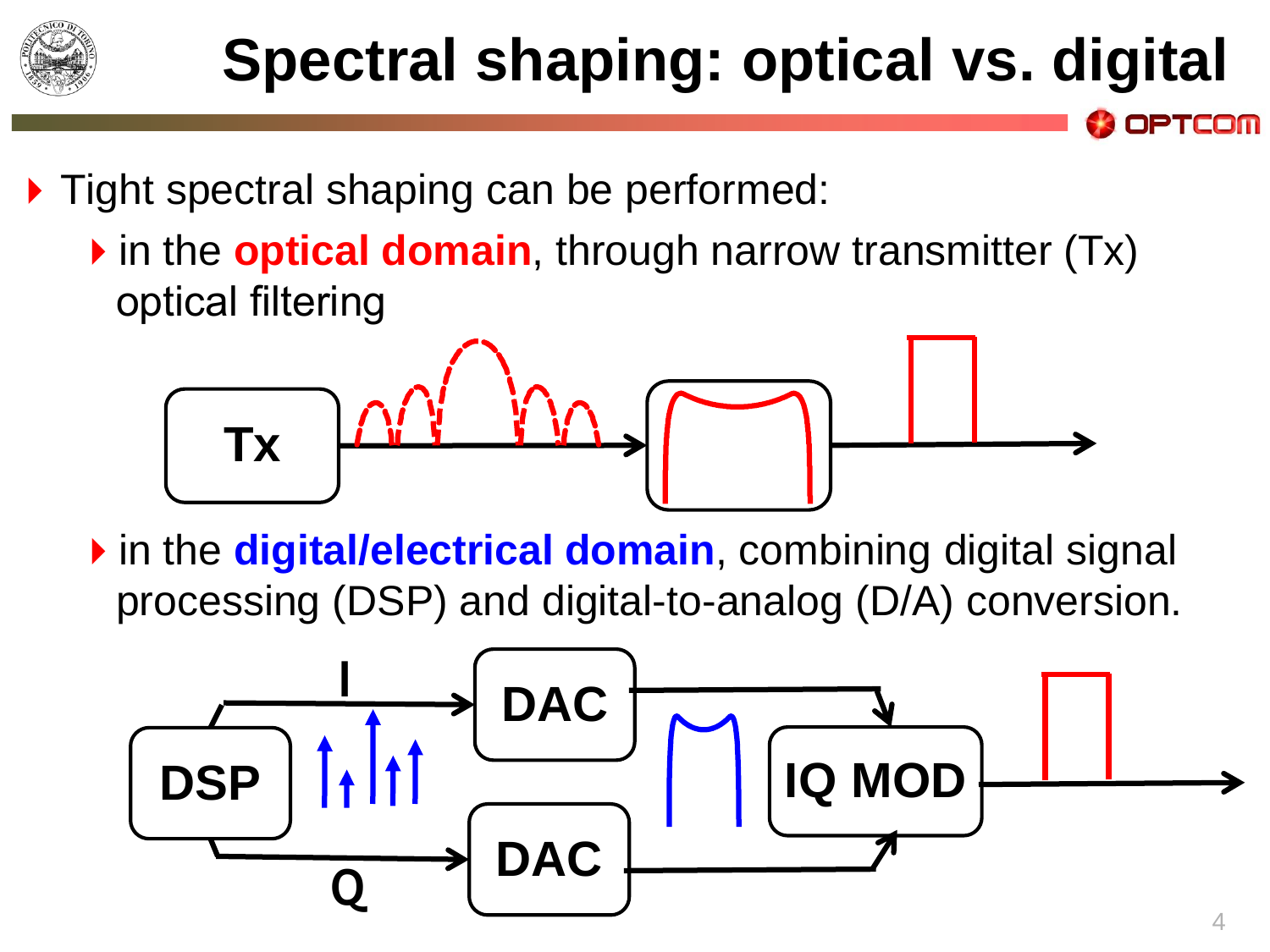

### **Spectral shaping: optical vs. digital**

- ▶ Tight spectral shaping can be performed:
	- **If** in the **optical domain**, through narrow transmitter (Tx) optical filtering



in the **digital/electrical domain**, combining digital signal processing (DSP) and digital-to-analog (D/A) conversion.

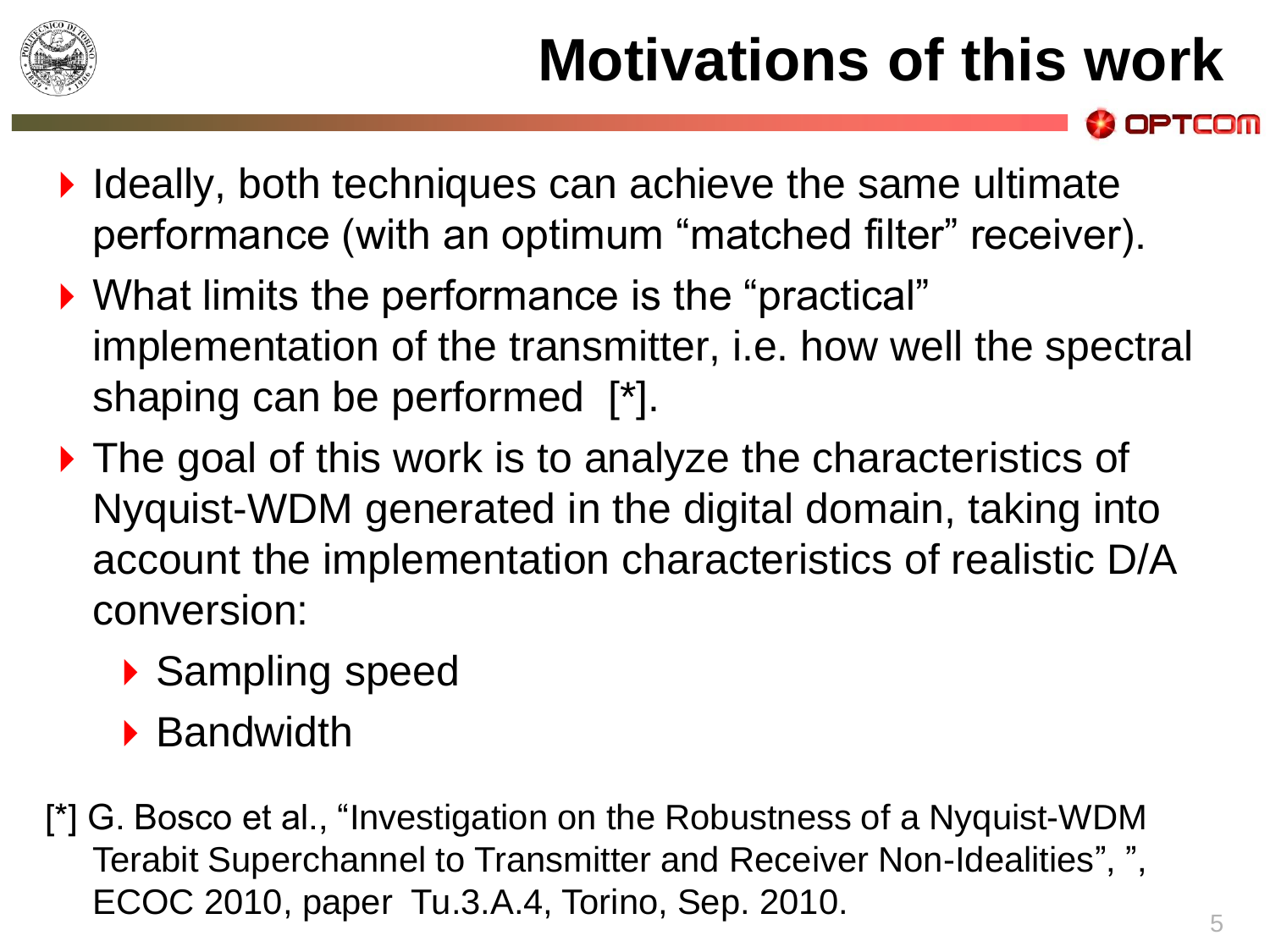

- $\blacktriangleright$  Ideally, both techniques can achieve the same ultimate performance (with an optimum "matched filter" receiver).
- ▶ What limits the performance is the "practical" implementation of the transmitter, i.e. how well the spectral shaping can be performed [\*].
- ▶ The goal of this work is to analyze the characteristics of Nyquist-WDM generated in the digital domain, taking into account the implementation characteristics of realistic D/A conversion:
	- ▶ Sampling speed
	- ▶ Bandwidth
- [\*] G. Bosco et al., "Investigation on the Robustness of a Nyquist-WDM Terabit Superchannel to Transmitter and Receiver Non-Idealities", ", ECOC 2010, paper Tu.3.A.4, Torino, Sep. 2010.

PTCOM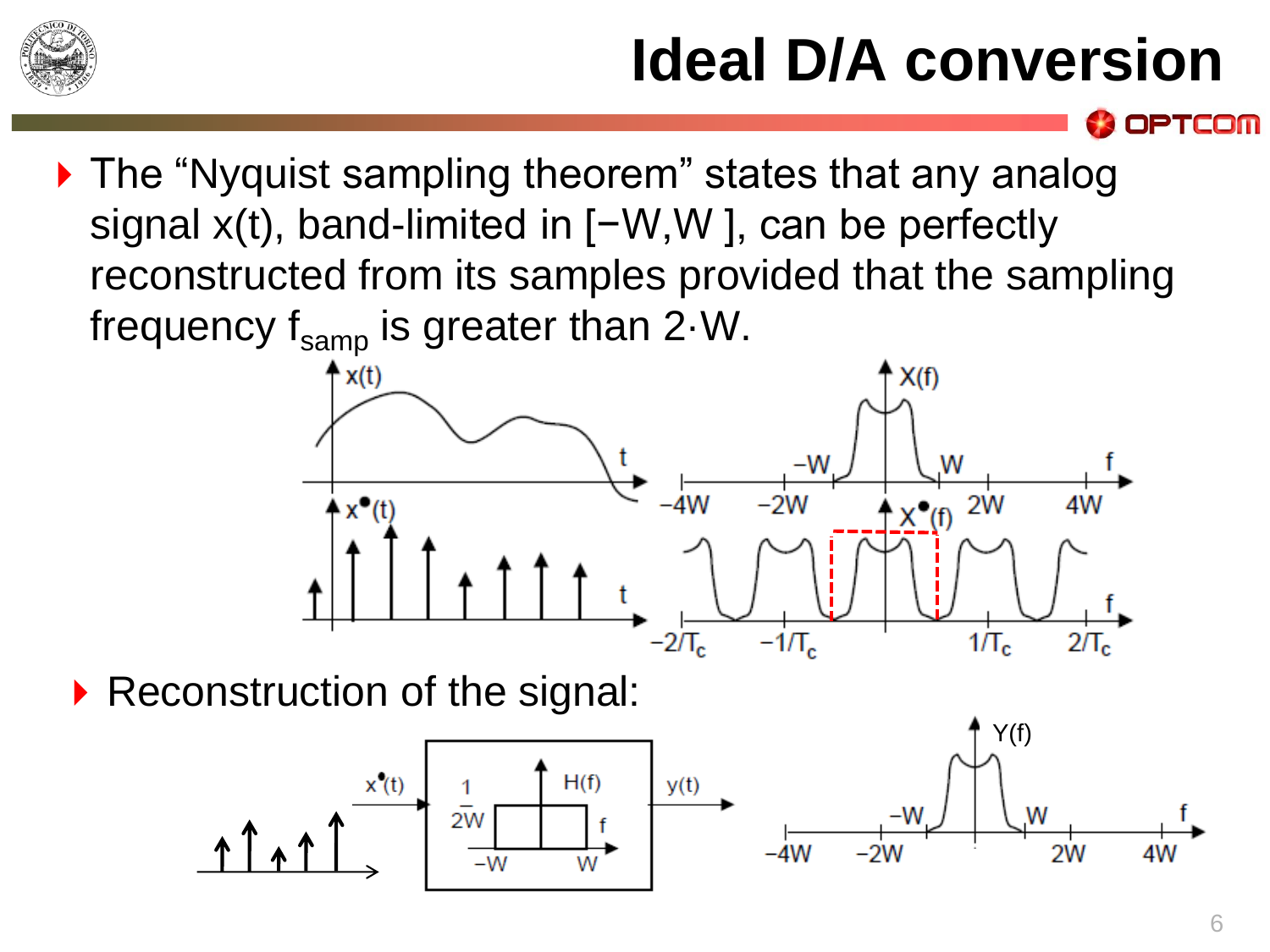

### **Ideal D/A conversion**

▶ The "Nyquist sampling theorem" states that any analog signal x(t), band-limited in [−W,W ], can be perfectly reconstructed from its samples provided that the sampling frequency  $f_{\text{samp}}$  is greater than 2 $\cdot$  W.



Reconstruction of the signal:



PTCOM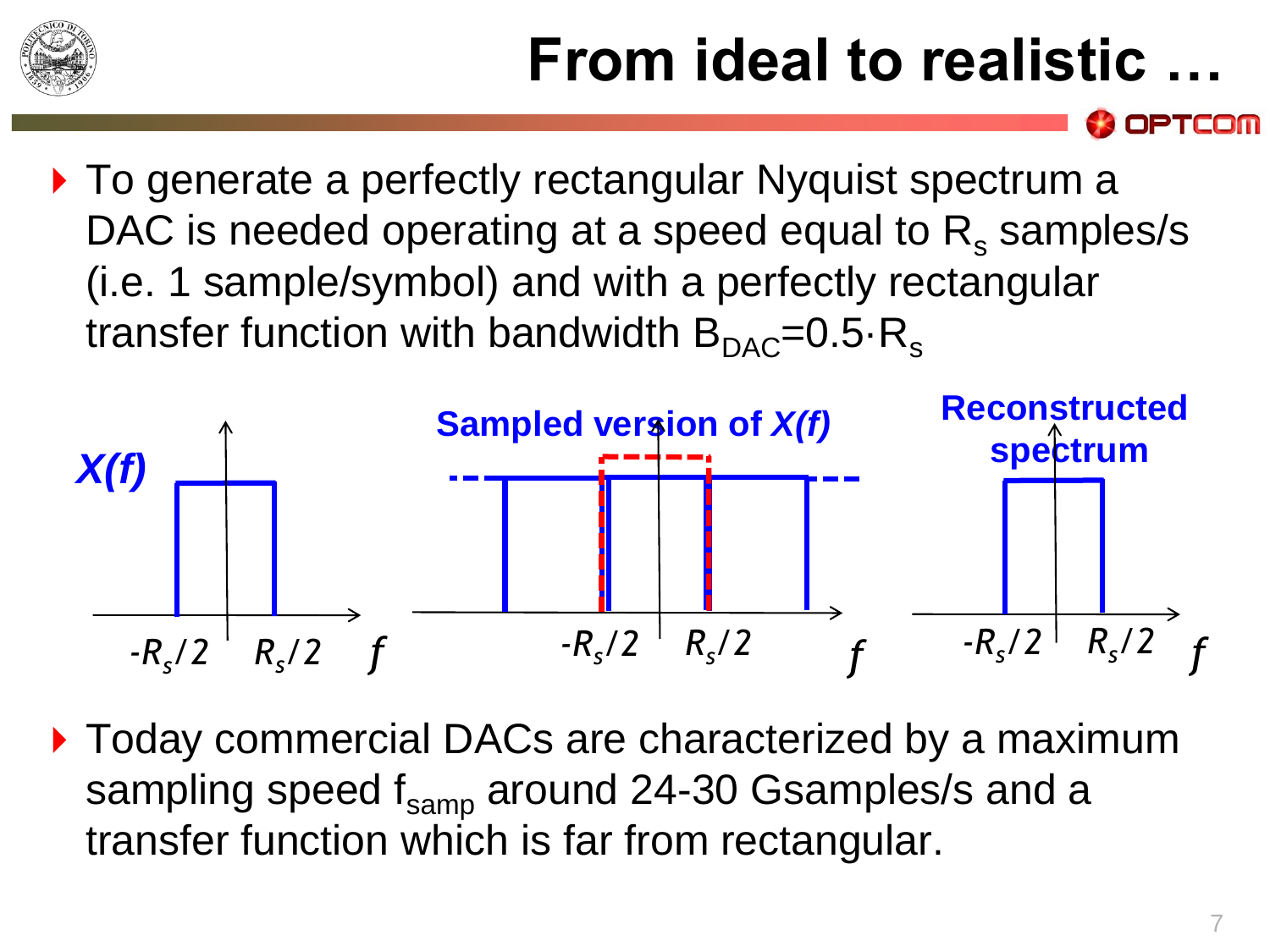

### **From ideal to realistic …**

▶ To generate a perfectly rectangular Nyquist spectrum a DAC is needed operating at a speed equal to  $R_s$  samples/s (i.e. 1 sample/symbol) and with a perfectly rectangular transfer function with bandwidth  $B_{\text{DAC}}=0.5\text{·R_s}$ 



▶ Today commercial DACs are characterized by a maximum sampling speed  $f_{\text{same}}$  around 24-30 Gsamples/s and a transfer function which is far from rectangular.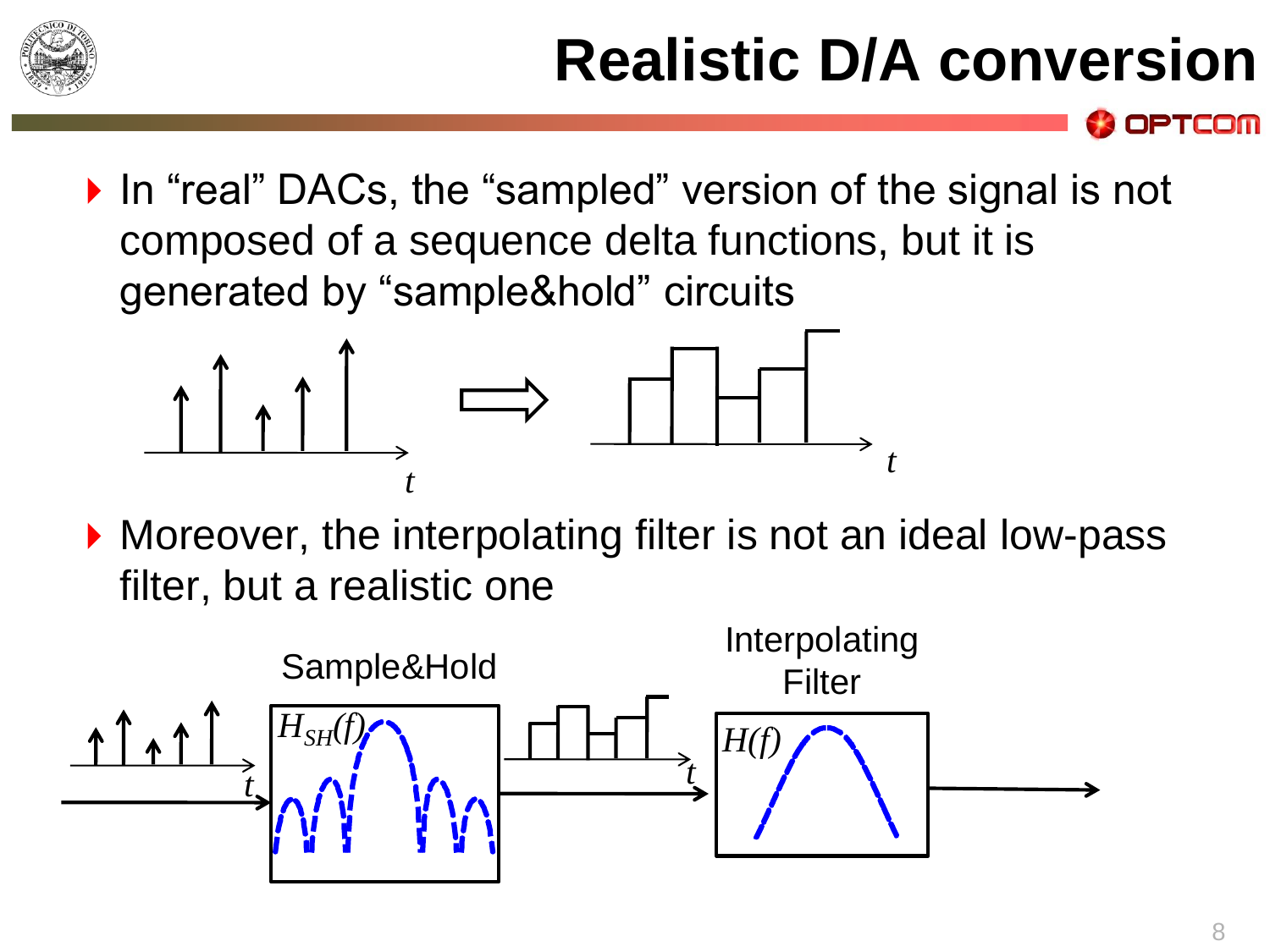

▶ In "real" DACs, the "sampled" version of the signal is not composed of a sequence delta functions, but it is generated by "sample&hold" circuits



▶ Moreover, the interpolating filter is not an ideal low-pass filter, but a realistic one



OPTCOM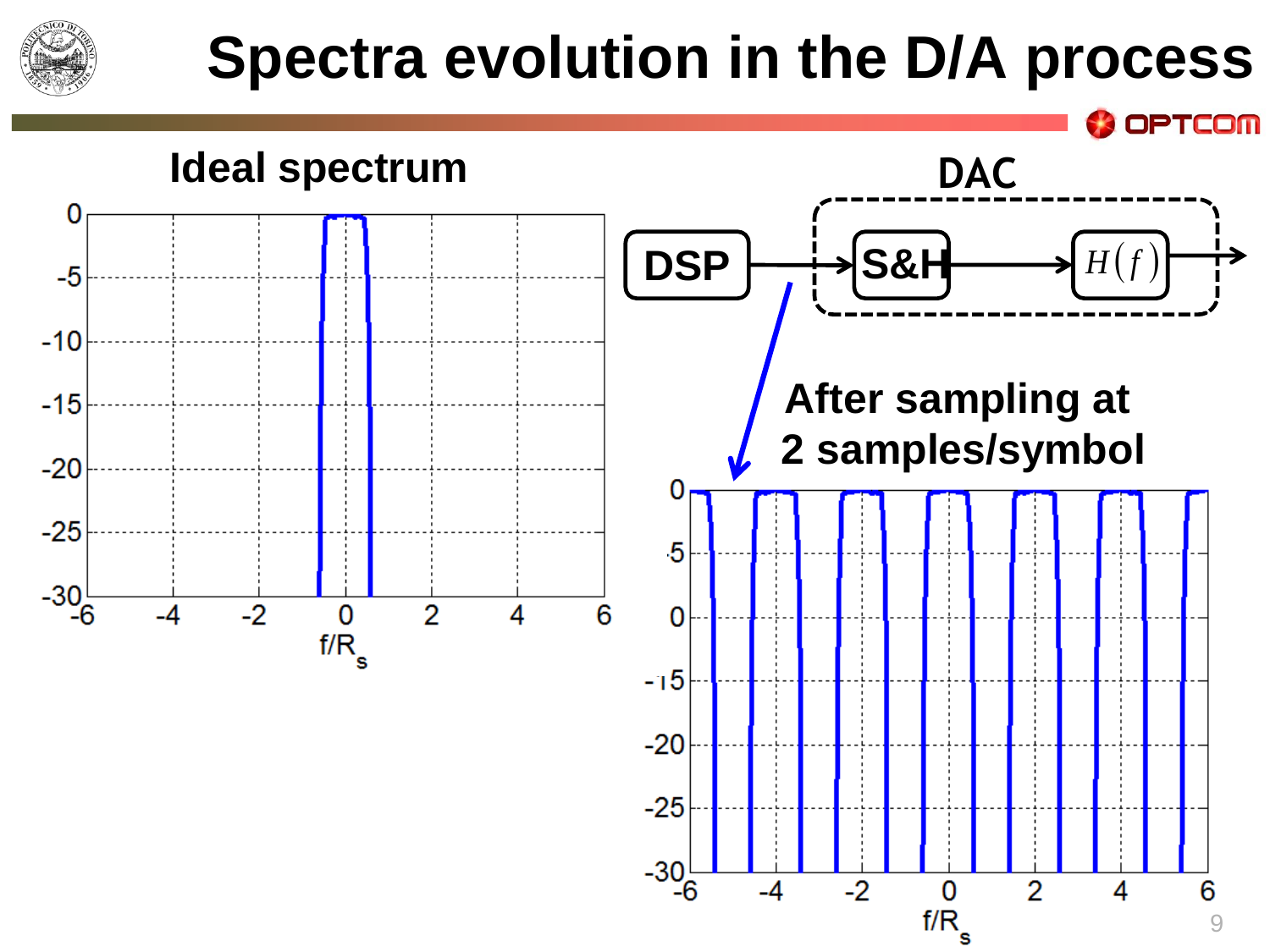

#### **Spectra evolution in the D/A process**

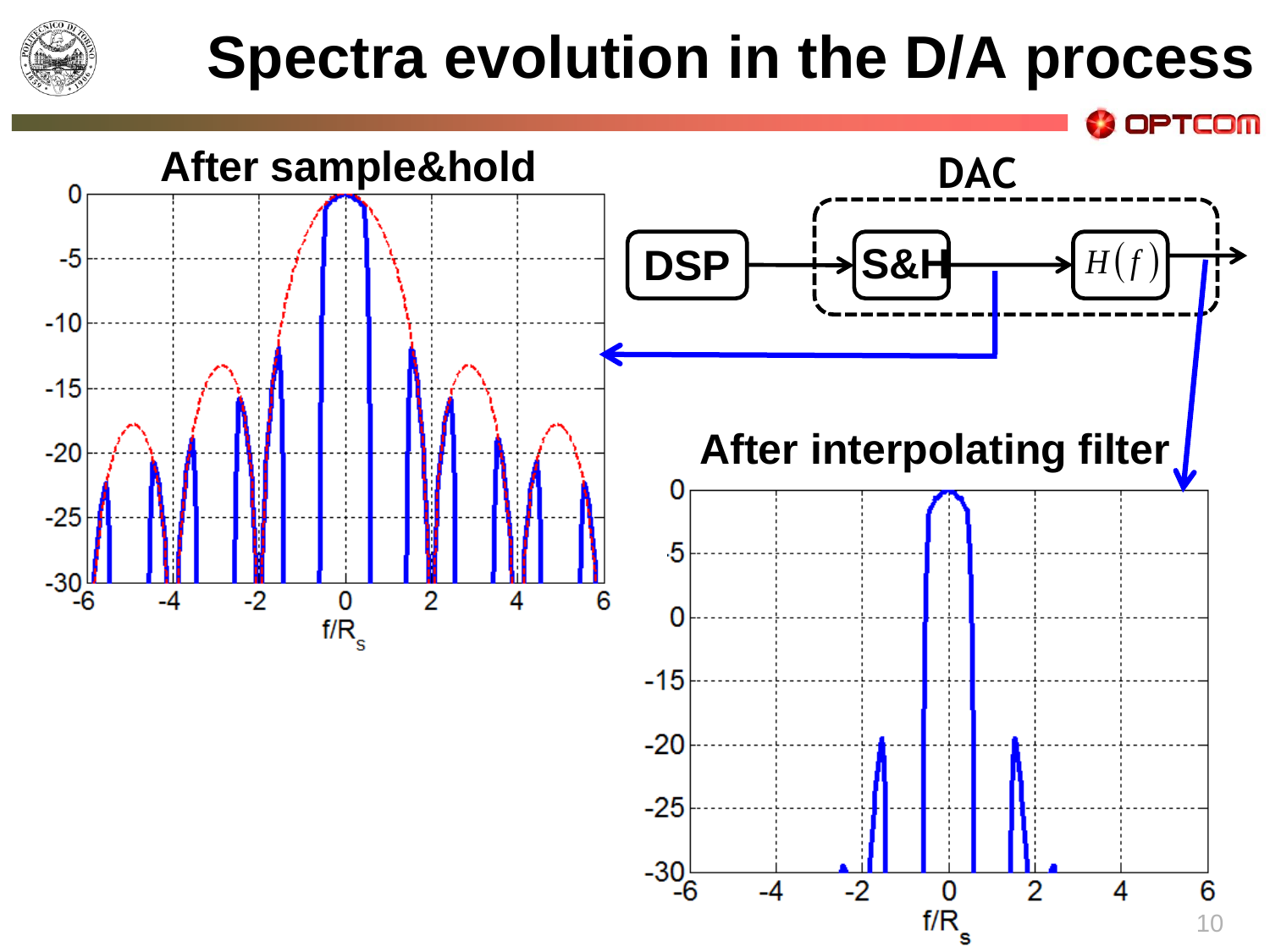

#### **Spectra evolution in the D/A process**

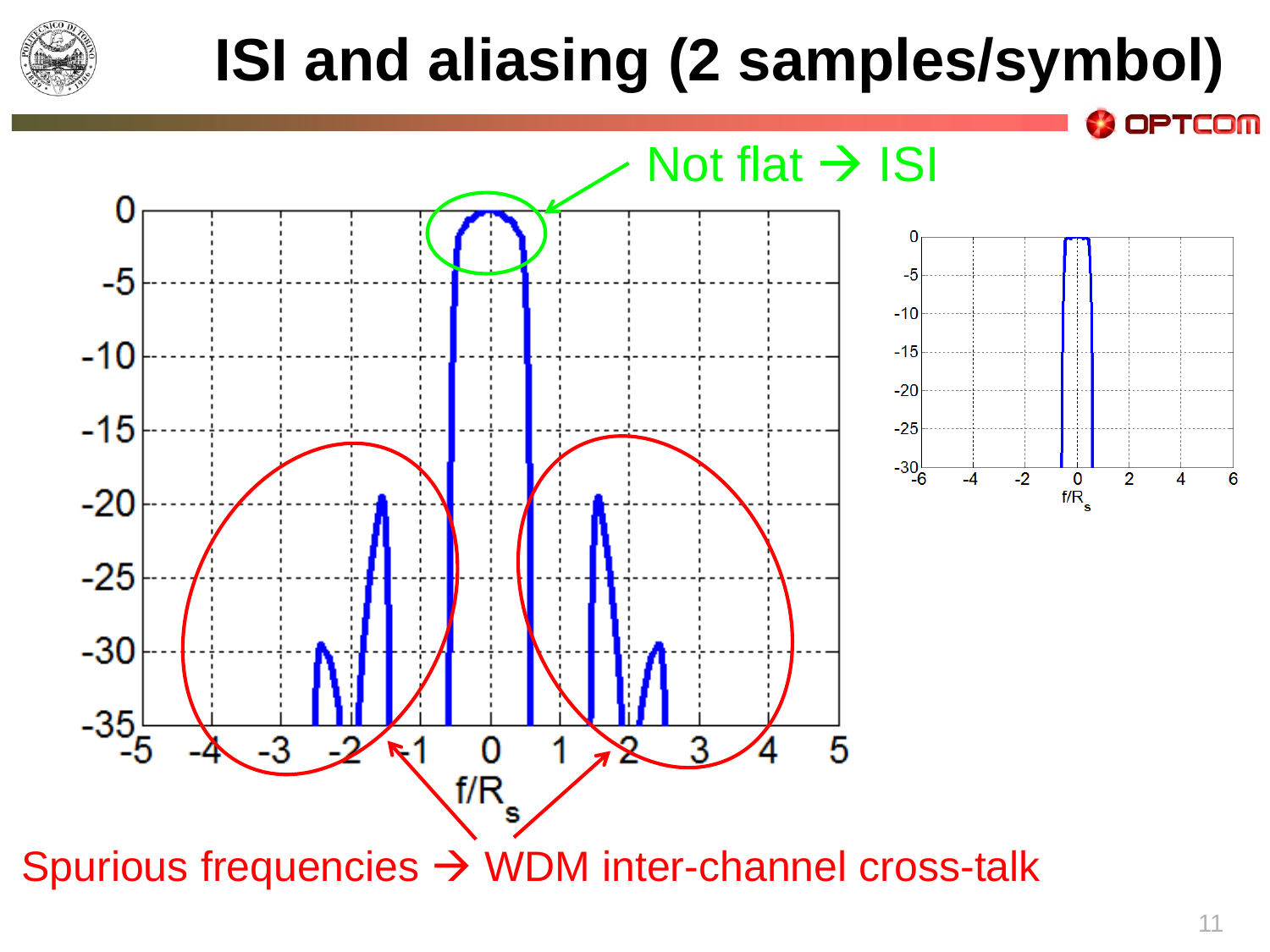

### **ISI and aliasing (2 samples/symbol)**

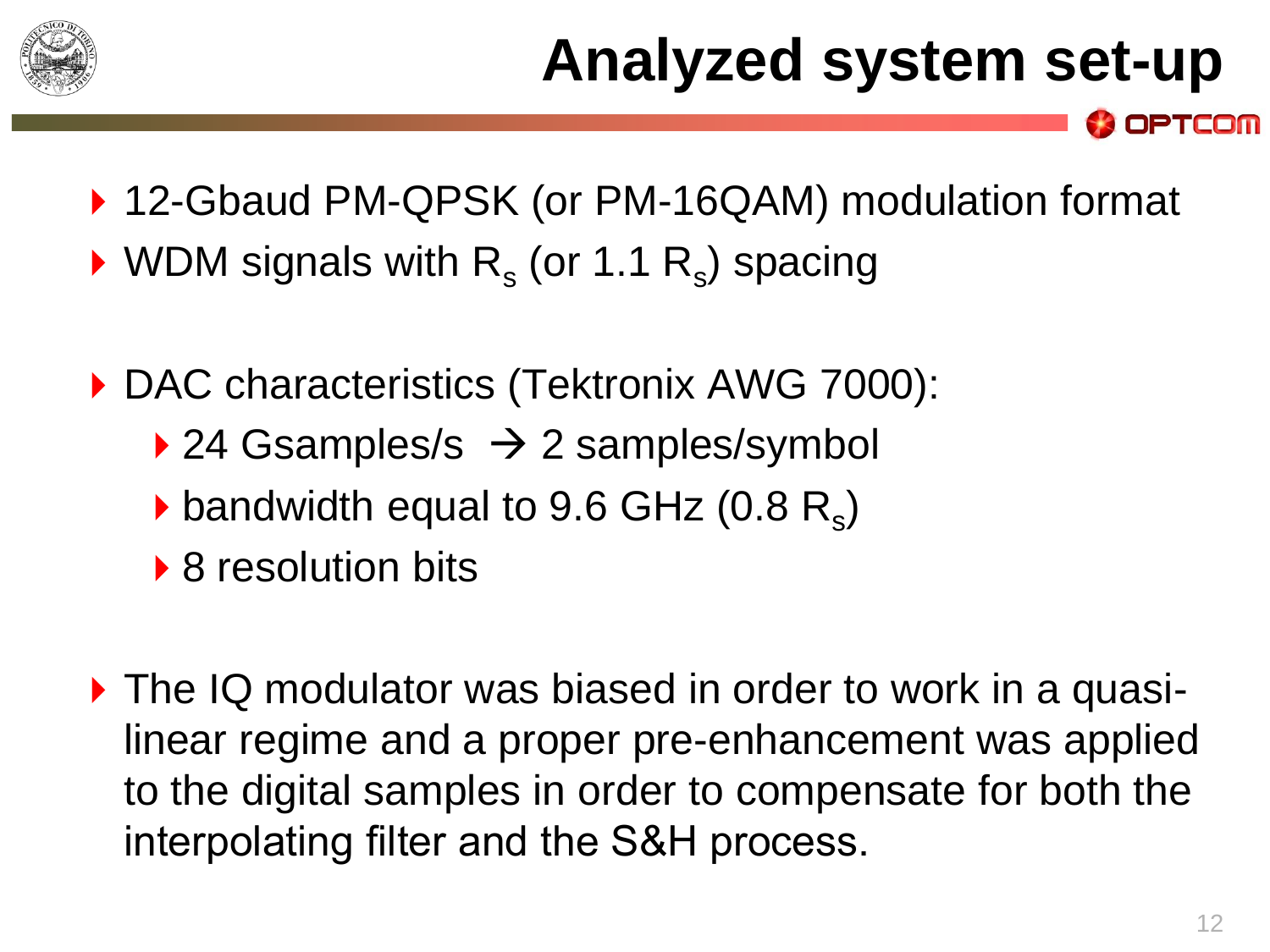

- ▶ 12-Gbaud PM-QPSK (or PM-16QAM) modulation format
- $\triangleright$  WDM signals with R<sub>s</sub> (or 1.1 R<sub>s</sub>) spacing
- ▶ DAC characteristics (Tektronix AWG 7000):
	- $\rightarrow$  24 Gsamples/s  $\rightarrow$  2 samples/symbol
	- bandwidth equal to 9.6 GHz  $(0.8 \, \text{R}_\text{s})$
	- ▶ 8 resolution bits
- ▶ The IQ modulator was biased in order to work in a quasilinear regime and a proper pre-enhancement was applied to the digital samples in order to compensate for both the interpolating filter and the S&H process.

OPTCOM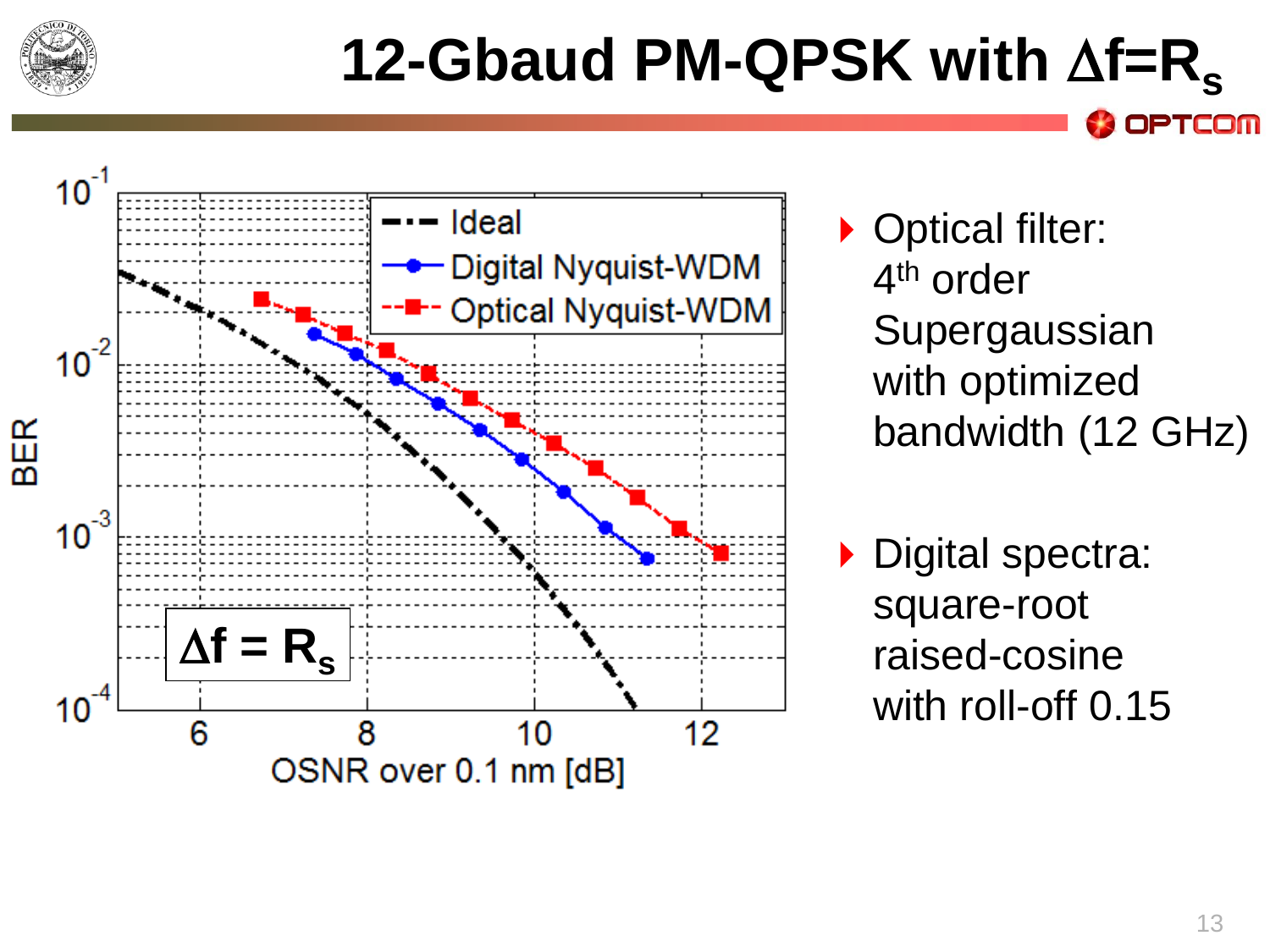

### **12-Gbaud PM-QPSK with f=R<sup>s</sup>**



- ▶ Optical filter: 4<sup>th</sup> order Supergaussian with optimized bandwidth (12 GHz)
- ▶ Digital spectra: square-root raised-cosine with roll-off 0.15

**OPTCOM**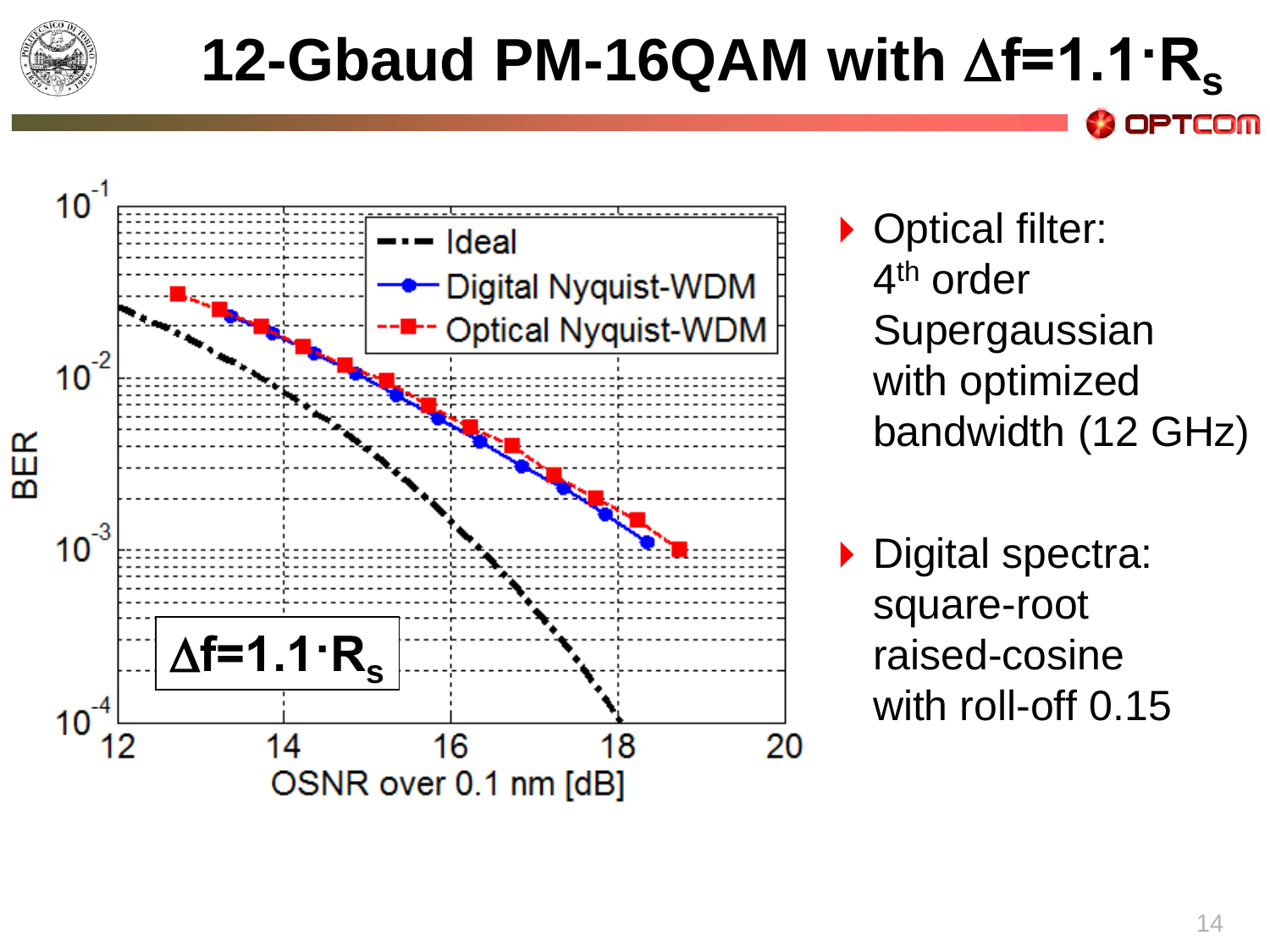

### **12-Gbaud PM-16QAM with**  $\Delta f=1.1 \cdot R_c$



- ▶ Optical filter: 4<sup>th</sup> order Supergaussian with optimized bandwidth (12 GHz)
- Digital spectra: square-root raised-cosine with roll-off 0.15

PTCOM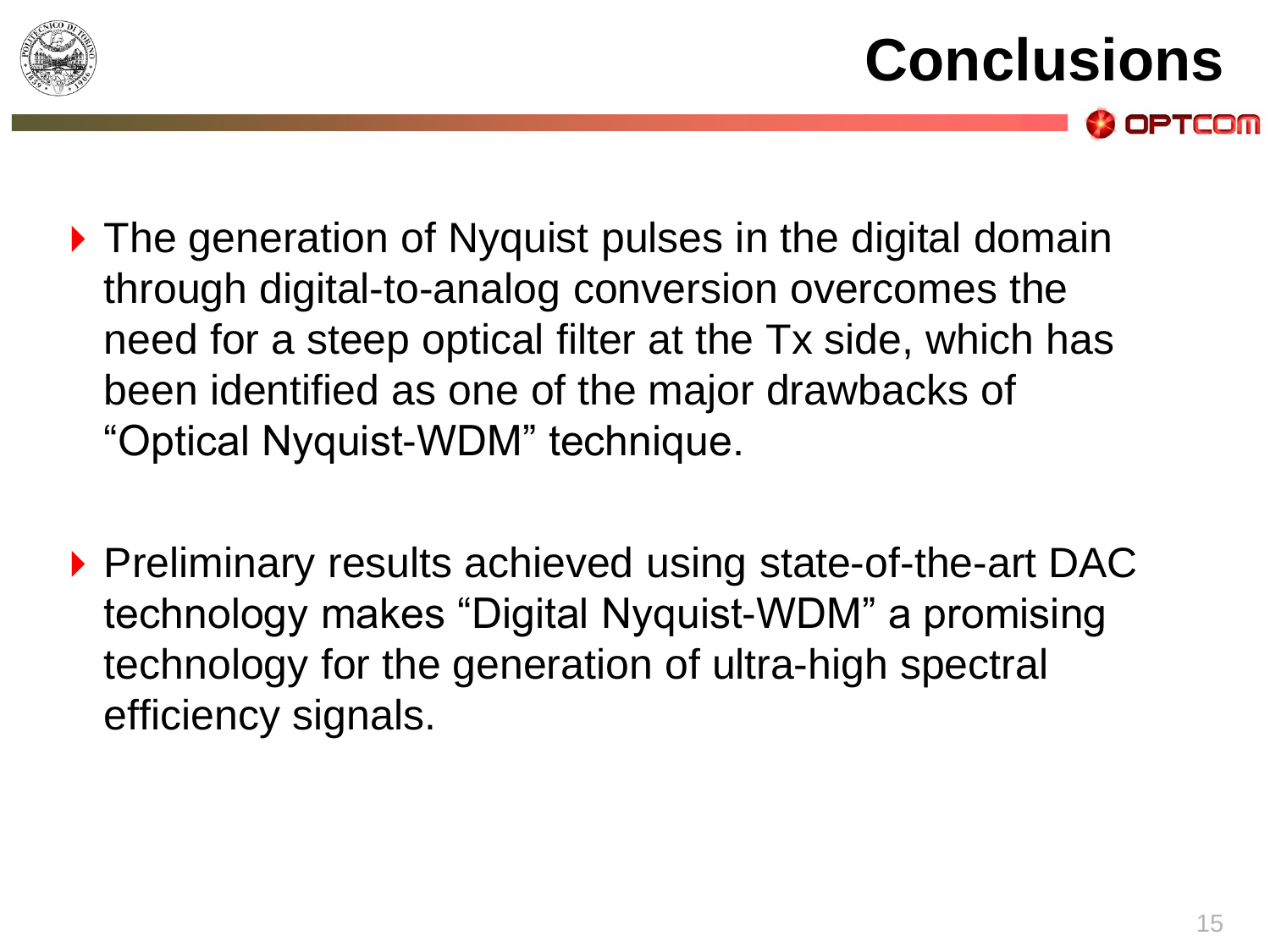

- **Conclusions** OPTCOM
- ▶ The generation of Nyquist pulses in the digital domain through digital-to-analog conversion overcomes the need for a steep optical filter at the Tx side, which has been identified as one of the major drawbacks of "Optical Nyquist-WDM" technique.
- ▶ Preliminary results achieved using state-of-the-art DAC technology makes "Digital Nyquist-WDM" a promising technology for the generation of ultra-high spectral efficiency signals.